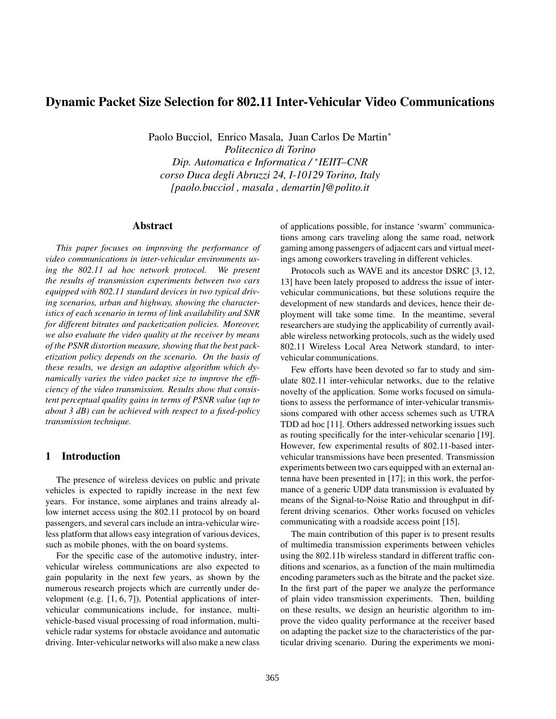# Dynamic Packet Size Selection for 802.11 Inter-Vehicular Video Communications

Paolo Bucciol, Enrico Masala, Juan Carlos De Martin<sup>∗</sup>

*Politecnico di Torino Dip. Automatica e Informatica /* ∗ *IEIIT–CNR corso Duca degli Abruzzi 24, I-10129 Torino, Italy [paolo.bucciol , masala , demartin]@polito.it*

#### Abstract

*This paper focuses on improving the performance of video communications in inter-vehicular environments using the 802.11 ad hoc network protocol. We present the results of transmission experiments between two cars equipped with 802.11 standard devices in two typical driving scenarios, urban and highway, showing the characteristics of each scenario in terms of link availability and SNR for different bitrates and packetization policies. Moreover, we also evaluate the video quality at the receiver by means of the PSNR distortion measure, showing that the best packetization policy depends on the scenario. On the basis of these results, we design an adaptive algorithm which dynamically varies the video packet size to improve the efficiency of the video transmission. Results show that consistent perceptual quality gains in terms of PSNR value (up to about 3 dB) can be achieved with respect to a fixed-policy transmission technique.*

# 1 Introduction

The presence of wireless devices on public and private vehicles is expected to rapidly increase in the next few years. For instance, some airplanes and trains already allow internet access using the 802.11 protocol by on board passengers, and several cars include an intra-vehicular wireless platform that allows easy integration of various devices, such as mobile phones, with the on board systems.

For the specific case of the automotive industry, intervehicular wireless communications are also expected to gain popularity in the next few years, as shown by the numerous research projects which are currently under development (e.g. [1, 6, 7]), Potential applications of intervehicular communications include, for instance, multivehicle-based visual processing of road information, multivehicle radar systems for obstacle avoidance and automatic driving. Inter-vehicular networks will also make a new class

of applications possible, for instance 'swarm' communications among cars traveling along the same road, network gaming among passengers of adjacent cars and virtual meetings among coworkers traveling in different vehicles.

Protocols such as WAVE and its ancestor DSRC [3, 12, 13] have been lately proposed to address the issue of intervehicular communications, but these solutions require the development of new standards and devices, hence their deployment will take some time. In the meantime, several researchers are studying the applicability of currently available wireless networking protocols, such as the widely used 802.11 Wireless Local Area Network standard, to intervehicular communications.

Few efforts have been devoted so far to study and simulate 802.11 inter-vehicular networks, due to the relative novelty of the application. Some works focused on simulations to assess the performance of inter-vehicular transmissions compared with other access schemes such as UTRA TDD ad hoc [11]. Others addressed networking issues such as routing specifically for the inter-vehicular scenario [19]. However, few experimental results of 802.11-based intervehicular transmissions have been presented. Transmission experiments between two cars equipped with an external antenna have been presented in [17]; in this work, the performance of a generic UDP data transmission is evaluated by means of the Signal-to-Noise Ratio and throughput in different driving scenarios. Other works focused on vehicles communicating with a roadside access point [15].

The main contribution of this paper is to present results of multimedia transmission experiments between vehicles using the 802.11b wireless standard in different traffic conditions and scenarios, as a function of the main multimedia encoding parameters such as the bitrate and the packet size. In the first part of the paper we analyze the performance of plain video transmission experiments. Then, building on these results, we design an heuristic algorithm to improve the video quality performance at the receiver based on adapting the packet size to the characteristics of the particular driving scenario. During the experiments we moni-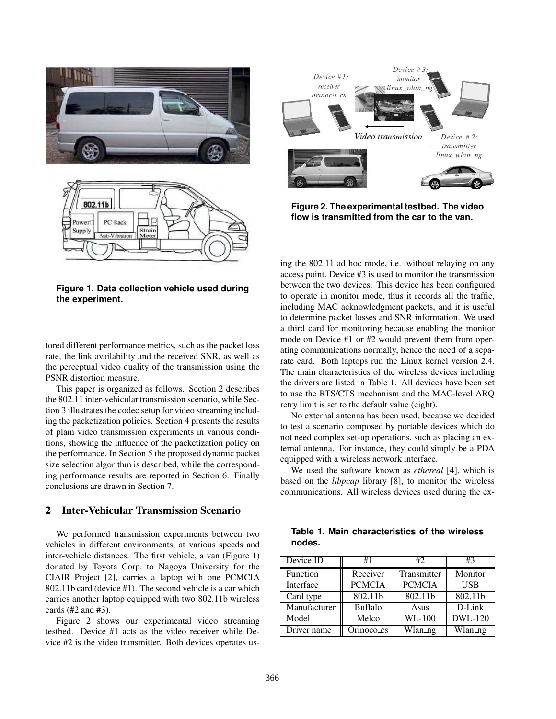

Device  $#3$ .  $Device #1:$ monitor receiver linux wlan orinoco\_cs Video transmission Device  $#2$ : transmitter linux\_wlan\_ng

**Figure 2. The experimental testbed. The video flow is transmitted from the car to the van.**

**Figure 1. Data collection vehicle used during the experiment.**

tored different performance metrics, such as the packet loss rate, the link availability and the received SNR, as well as the perceptual video quality of the transmission using the PSNR distortion measure.

This paper is organized as follows. Section 2 describes the 802.11 inter-vehicular transmission scenario, while Section 3 illustrates the codec setup for video streaming including the packetization policies. Section 4 presents the results of plain video transmission experiments in various conditions, showing the influence of the packetization policy on the performance. In Section 5 the proposed dynamic packet size selection algorithm is described, while the corresponding performance results are reported in Section 6. Finally conclusions are drawn in Section 7.

# 2 Inter-Vehicular Transmission Scenario

We performed transmission experiments between two vehicles in different environments, at various speeds and inter-vehicle distances. The first vehicle, a van (Figure 1) donated by Toyota Corp. to Nagoya University for the CIAIR Project [2], carries a laptop with one PCMCIA 802.11b card (device #1). The second vehicle is a car which carries another laptop equipped with two 802.11b wireless cards (#2 and #3).

Figure 2 shows our experimental video streaming testbed. Device #1 acts as the video receiver while Device #2 is the video transmitter. Both devices operates using the 802.11 ad hoc mode, i.e. without relaying on any access point. Device #3 is used to monitor the transmission between the two devices. This device has been configured to operate in monitor mode, thus it records all the traffic, including MAC acknowledgment packets, and it is useful to determine packet losses and SNR information. We used a third card for monitoring because enabling the monitor mode on Device #1 or #2 would prevent them from operating communications normally, hence the need of a separate card. Both laptops run the Linux kernel version 2.4. The main characteristics of the wireless devices including the drivers are listed in Table 1. All devices have been set to use the RTS/CTS mechanism and the MAC-level ARQ retry limit is set to the default value (eight).

No external antenna has been used, because we decided to test a scenario composed by portable devices which do not need complex set-up operations, such as placing an external antenna. For instance, they could simply be a PDA equipped with a wireless network interface.

We used the software known as *ethereal* [4], which is based on the *libpcap* library [8], to monitor the wireless communications. All wireless devices used during the ex-

|        | Table 1. Main characteristics of the wireless |  |  |
|--------|-----------------------------------------------|--|--|
| nodes. |                                               |  |  |

| Device ID    | #1             | #2            | #3         |
|--------------|----------------|---------------|------------|
| Function     | Receiver       | Transmitter   | Monitor    |
| Interface    | <b>PCMCIA</b>  | <b>PCMCIA</b> | <b>USB</b> |
| Card type    | 802.11b        | 802.11b       | 802.11b    |
| Manufacturer | <b>Buffalo</b> | Asus          | D-Link     |
| Model        | Melco          | WL-100        | DWL-120    |
| Driver name  | Orinoco_cs     | Wlan_ng       | Wlan_ng    |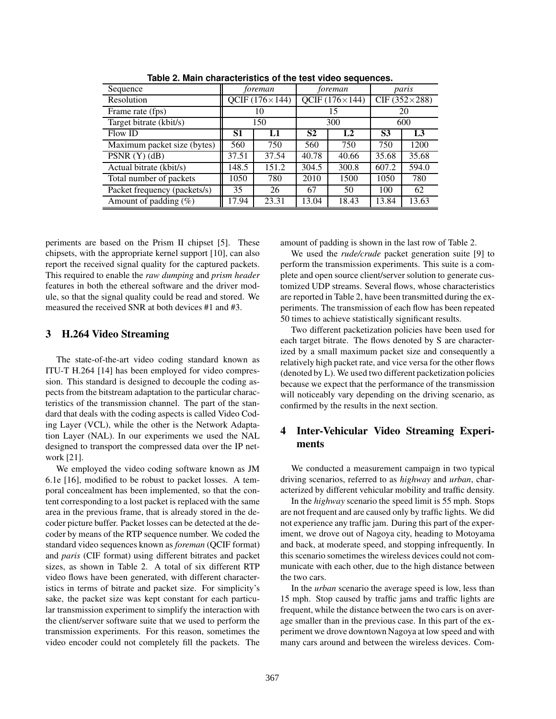| Sequence                     | foreman               |       | foreman               |                | paris                |       |
|------------------------------|-----------------------|-------|-----------------------|----------------|----------------------|-------|
| Resolution                   | QCIF $(176\times144)$ |       | QCIF $(176\times144)$ |                | CIF $(352\times288)$ |       |
| Frame rate (fps)             | 10                    |       | 15                    |                | 20                   |       |
| Target bitrate (kbit/s)      |                       | 150   | 300                   |                | 600                  |       |
| Flow ID                      | S1                    | L1    | S <sub>2</sub>        | L <sub>2</sub> | S3                   | L3    |
| Maximum packet size (bytes)  | 560                   | 750   | 560                   | 750            | 750                  | 1200  |
| PSNR $(Y)$ $(dB)$            | 37.51                 | 37.54 | 40.78                 | 40.66          | 35.68                | 35.68 |
| Actual bitrate (kbit/s)      | 148.5                 | 151.2 | 304.5                 | 300.8          | 607.2                | 594.0 |
| Total number of packets      | 1050                  | 780   | 2010                  | 1500           | 1050                 | 780   |
| Packet frequency (packets/s) | 35                    | 26    | 67                    | 50             | 100                  | 62    |
| Amount of padding $(\%)$     | 17.94                 | 23.31 | 13.04                 | 18.43          | 13.84                | 13.63 |

**Table 2. Main characteristics of the test video sequences.**

periments are based on the Prism II chipset [5]. These chipsets, with the appropriate kernel support [10], can also report the received signal quality for the captured packets. This required to enable the *raw dumping* and *prism header* features in both the ethereal software and the driver module, so that the signal quality could be read and stored. We measured the received SNR at both devices #1 and #3.

# 3 H.264 Video Streaming

The state-of-the-art video coding standard known as ITU-T H.264 [14] has been employed for video compression. This standard is designed to decouple the coding aspects from the bitstream adaptation to the particular characteristics of the transmission channel. The part of the standard that deals with the coding aspects is called Video Coding Layer (VCL), while the other is the Network Adaptation Layer (NAL). In our experiments we used the NAL designed to transport the compressed data over the IP network [21].

We employed the video coding software known as JM 6.1e [16], modified to be robust to packet losses. A temporal concealment has been implemented, so that the content corresponding to a lost packet is replaced with the same area in the previous frame, that is already stored in the decoder picture buffer. Packet losses can be detected at the decoder by means of the RTP sequence number. We coded the standard video sequences known as *foreman* (QCIF format) and *paris* (CIF format) using different bitrates and packet sizes, as shown in Table 2. A total of six different RTP video flows have been generated, with different characteristics in terms of bitrate and packet size. For simplicity's sake, the packet size was kept constant for each particular transmission experiment to simplify the interaction with the client/server software suite that we used to perform the transmission experiments. For this reason, sometimes the video encoder could not completely fill the packets. The amount of padding is shown in the last row of Table 2.

We used the *rude/crude* packet generation suite [9] to perform the transmission experiments. This suite is a complete and open source client/server solution to generate customized UDP streams. Several flows, whose characteristics are reported in Table 2, have been transmitted during the experiments. The transmission of each flow has been repeated 50 times to achieve statistically significant results.

Two different packetization policies have been used for each target bitrate. The flows denoted by S are characterized by a small maximum packet size and consequently a relatively high packet rate, and vice versa for the other flows (denoted by L). We used two different packetization policies because we expect that the performance of the transmission will noticeably vary depending on the driving scenario, as confirmed by the results in the next section.

# 4 Inter-Vehicular Video Streaming Experiments

We conducted a measurement campaign in two typical driving scenarios, referred to as *highway* and *urban*, characterized by different vehicular mobility and traffic density.

In the *highway* scenario the speed limit is 55 mph. Stops are not frequent and are caused only by traffic lights. We did not experience any traffic jam. During this part of the experiment, we drove out of Nagoya city, heading to Motoyama and back, at moderate speed, and stopping infrequently. In this scenario sometimes the wireless devices could not communicate with each other, due to the high distance between the two cars.

In the *urban* scenario the average speed is low, less than 15 mph. Stop caused by traffic jams and traffic lights are frequent, while the distance between the two cars is on average smaller than in the previous case. In this part of the experiment we drove downtown Nagoya at low speed and with many cars around and between the wireless devices. Com-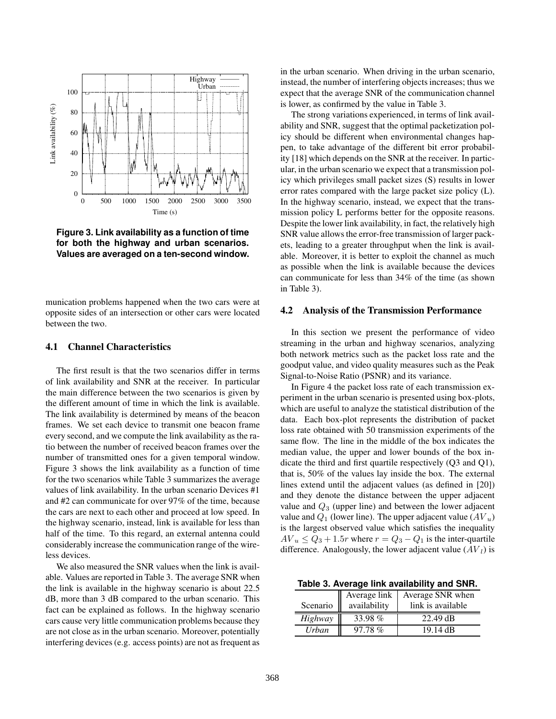

**Figure 3. Link availability as a function of time for both the highway and urban scenarios. Values are averaged on a ten-second window.**

munication problems happened when the two cars were at opposite sides of an intersection or other cars were located between the two.

### 4.1 Channel Characteristics

The first result is that the two scenarios differ in terms of link availability and SNR at the receiver. In particular the main difference between the two scenarios is given by the different amount of time in which the link is available. The link availability is determined by means of the beacon frames. We set each device to transmit one beacon frame every second, and we compute the link availability as the ratio between the number of received beacon frames over the number of transmitted ones for a given temporal window. Figure 3 shows the link availability as a function of time for the two scenarios while Table 3 summarizes the average values of link availability. In the urban scenario Devices #1 and #2 can communicate for over 97% of the time, because the cars are next to each other and proceed at low speed. In the highway scenario, instead, link is available for less than half of the time. To this regard, an external antenna could considerably increase the communication range of the wireless devices.

We also measured the SNR values when the link is available. Values are reported in Table 3. The average SNR when the link is available in the highway scenario is about 22.5 dB, more than 3 dB compared to the urban scenario. This fact can be explained as follows. In the highway scenario cars cause very little communication problems because they are not close as in the urban scenario. Moreover, potentially interfering devices (e.g. access points) are not as frequent as in the urban scenario. When driving in the urban scenario, instead, the number of interfering objects increases; thus we expect that the average SNR of the communication channel is lower, as confirmed by the value in Table 3.

The strong variations experienced, in terms of link availability and SNR, suggest that the optimal packetization policy should be different when environmental changes happen, to take advantage of the different bit error probability [18] which depends on the SNR at the receiver. In particular, in the urban scenario we expect that a transmission policy which privileges small packet sizes (S) results in lower error rates compared with the large packet size policy (L). In the highway scenario, instead, we expect that the transmission policy L performs better for the opposite reasons. Despite the lower link availability, in fact, the relatively high SNR value allows the error-free transmission of larger packets, leading to a greater throughput when the link is available. Moreover, it is better to exploit the channel as much as possible when the link is available because the devices can communicate for less than 34% of the time (as shown in Table 3).

#### 4.2 Analysis of the Transmission Performance

In this section we present the performance of video streaming in the urban and highway scenarios, analyzing both network metrics such as the packet loss rate and the goodput value, and video quality measures such as the Peak Signal-to-Noise Ratio (PSNR) and its variance.

In Figure 4 the packet loss rate of each transmission experiment in the urban scenario is presented using box-plots, which are useful to analyze the statistical distribution of the data. Each box-plot represents the distribution of packet loss rate obtained with 50 transmission experiments of the same flow. The line in the middle of the box indicates the median value, the upper and lower bounds of the box indicate the third and first quartile respectively (Q3 and Q1), that is, 50% of the values lay inside the box. The external lines extend until the adjacent values (as defined in [20]) and they denote the distance between the upper adjacent value and  $Q_3$  (upper line) and between the lower adjacent value and  $Q_1$  (lower line). The upper adjacent value  $(AV_u)$ is the largest observed value which satisfies the inequality  $AV_u \leq Q_3 + 1.5r$  where  $r = Q_3 - Q_1$  is the inter-quartile difference. Analogously, the lower adjacent value  $(AV_l)$  is

**Table 3. Average link availability and SNR.**

|              | Average link | Average SNR when   |
|--------------|--------------|--------------------|
| Scenario     | availability | link is available  |
| Highway      | 33.98%       | $22.49 \text{ dB}$ |
| <b>Urban</b> | 97.78%       | 19.14 dB           |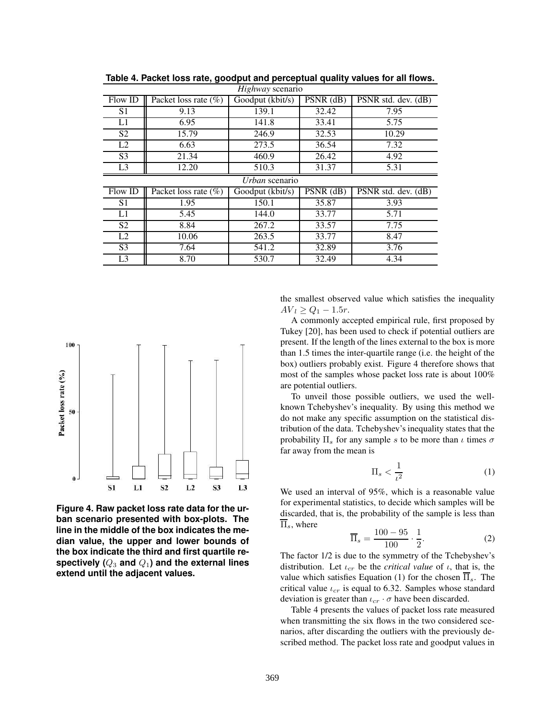| Highway scenario |                         |                  |             |                                  |  |  |
|------------------|-------------------------|------------------|-------------|----------------------------------|--|--|
| Flow ID          | Packet loss rate (%)    | Goodput (kbit/s) | PSNR (dB)   | PSNR std. dev. (dB)              |  |  |
| S <sub>1</sub>   | 9.13                    | 139.1            | 32.42       | 7.95                             |  |  |
| L1               | 6.95                    | 141.8            | 33.41       | 5.75                             |  |  |
| S <sub>2</sub>   | 15.79                   | 246.9            | 32.53       | 10.29                            |  |  |
| L <sub>2</sub>   | 6.63                    | 273.5            | 36.54       | 7.32                             |  |  |
| S <sub>3</sub>   | 21.34                   | 460.9            | 26.42       | 4.92                             |  |  |
| L <sub>3</sub>   | 12.20                   | 510.3            | 31.37       | 5.31                             |  |  |
|                  |                         | Urban scenario   |             |                                  |  |  |
| Flow ID          | Packet loss rate $(\%)$ | Goodput (kbit/s) | $PSNR$ (dB) | $\overline{PSNR}$ std. dev. (dB) |  |  |
| S <sub>1</sub>   | 1.95                    | 150.1            | 35.87       | 3.93                             |  |  |
| L1               |                         |                  |             |                                  |  |  |
|                  | 5.45                    | 144.0            | 33.77       | 5.71                             |  |  |
| S <sub>2</sub>   | 8.84                    | 267.2            | 33.57       | 7.75                             |  |  |
| L2               | 10.06                   | 263.5            | 33.77       | 8.47                             |  |  |
| S <sub>3</sub>   | 7.64                    | 541.2            | 32.89       | 3.76                             |  |  |

**Table 4. Packet loss rate, goodput and perceptual quality values for all flows.**



**Figure 4. Raw packet loss rate data for the urban scenario presented with box-plots. The line in the middle of the box indicates the median value, the upper and lower bounds of the box indicate the third and first quartile respectively (**Q<sup>3</sup> **and** Q1**) and the external lines extend until the adjacent values.**

the smallest observed value which satisfies the inequality  $AV_l \ge Q_1 - 1.5r.$ 

A commonly accepted empirical rule, first proposed by Tukey [20], has been used to check if potential outliers are present. If the length of the lines external to the box is more than 1.5 times the inter-quartile range (i.e. the height of the box) outliers probably exist. Figure 4 therefore shows that most of the samples whose packet loss rate is about 100% are potential outliers.

To unveil those possible outliers, we used the wellknown Tchebyshev's inequality. By using this method we do not make any specific assumption on the statistical distribution of the data. Tchebyshev's inequality states that the probability  $\Pi_s$  for any sample s to be more than  $\iota$  times  $\sigma$ far away from the mean is

$$
\Pi_s < \frac{1}{\iota^2} \tag{1}
$$

We used an interval of 95%, which is a reasonable value for experimental statistics, to decide which samples will be discarded, that is, the probability of the sample is less than  $\overline{\Pi}_s$ , where

$$
\overline{\Pi}_s = \frac{100 - 95}{100} \cdot \frac{1}{2}.
$$
 (2)

The factor 1/2 is due to the symmetry of the Tchebyshev's distribution. Let  $\iota_{cr}$  be the *critical value* of  $\iota$ , that is, the value which satisfies Equation (1) for the chosen  $\overline{\Pi}_s$ . The critical value  $\iota_{cr}$  is equal to 6.32. Samples whose standard deviation is greater than  $\iota_{cr} \cdot \sigma$  have been discarded.

Table 4 presents the values of packet loss rate measured when transmitting the six flows in the two considered scenarios, after discarding the outliers with the previously described method. The packet loss rate and goodput values in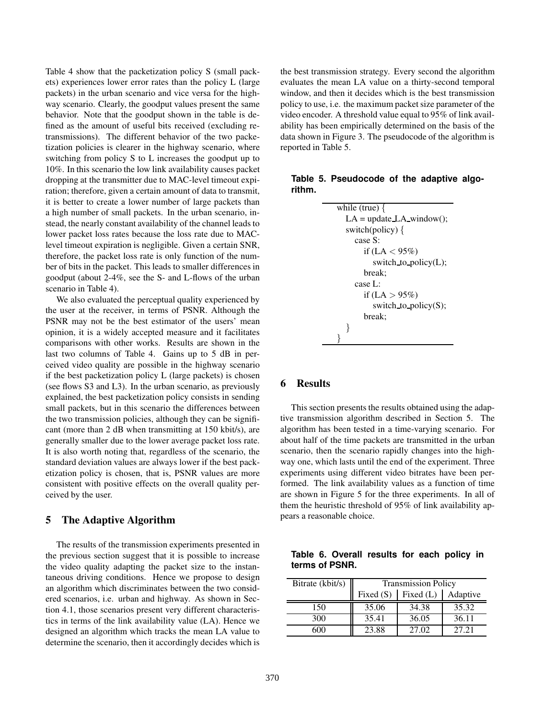Table 4 show that the packetization policy S (small packets) experiences lower error rates than the policy L (large packets) in the urban scenario and vice versa for the highway scenario. Clearly, the goodput values present the same behavior. Note that the goodput shown in the table is defined as the amount of useful bits received (excluding retransmissions). The different behavior of the two packetization policies is clearer in the highway scenario, where switching from policy S to L increases the goodput up to 10%. In this scenario the low link availability causes packet dropping at the transmitter due to MAC-level timeout expiration; therefore, given a certain amount of data to transmit, it is better to create a lower number of large packets than a high number of small packets. In the urban scenario, instead, the nearly constant availability of the channel leads to lower packet loss rates because the loss rate due to MAClevel timeout expiration is negligible. Given a certain SNR, therefore, the packet loss rate is only function of the number of bits in the packet. This leads to smaller differences in goodput (about 2-4%, see the S- and L-flows of the urban scenario in Table 4).

We also evaluated the perceptual quality experienced by the user at the receiver, in terms of PSNR. Although the PSNR may not be the best estimator of the users' mean opinion, it is a widely accepted measure and it facilitates comparisons with other works. Results are shown in the last two columns of Table 4. Gains up to 5 dB in perceived video quality are possible in the highway scenario if the best packetization policy L (large packets) is chosen (see flows S3 and L3). In the urban scenario, as previously explained, the best packetization policy consists in sending small packets, but in this scenario the differences between the two transmission policies, although they can be significant (more than 2 dB when transmitting at 150 kbit/s), are generally smaller due to the lower average packet loss rate. It is also worth noting that, regardless of the scenario, the standard deviation values are always lower if the best packetization policy is chosen, that is, PSNR values are more consistent with positive effects on the overall quality perceived by the user.

### 5 The Adaptive Algorithm

The results of the transmission experiments presented in the previous section suggest that it is possible to increase the video quality adapting the packet size to the instantaneous driving conditions. Hence we propose to design an algorithm which discriminates between the two considered scenarios, i.e. urban and highway. As shown in Section 4.1, those scenarios present very different characteristics in terms of the link availability value (LA). Hence we designed an algorithm which tracks the mean LA value to determine the scenario, then it accordingly decides which is the best transmission strategy. Every second the algorithm evaluates the mean LA value on a thirty-second temporal window, and then it decides which is the best transmission policy to use, i.e. the maximum packet size parameter of the video encoder. A threshold value equal to 95% of link availability has been empirically determined on the basis of the data shown in Figure 3. The pseudocode of the algorithm is reported in Table 5.

|        | Table 5. Pseudocode of the adaptive algo- |  |  |
|--------|-------------------------------------------|--|--|
| rithm. |                                           |  |  |

```
while (true) {
  LA = update\_LA\_window();switch(policy) \{case S:
       if (LA < 95\%)
         switch_to_policy(L);
       break;
    case L:
       if (LA > 95\%)switch_to_policy(S);
       break;
  }
}
```
# 6 Results

This section presents the results obtained using the adaptive transmission algorithm described in Section 5. The algorithm has been tested in a time-varying scenario. For about half of the time packets are transmitted in the urban scenario, then the scenario rapidly changes into the highway one, which lasts until the end of the experiment. Three experiments using different video bitrates have been performed. The link availability values as a function of time are shown in Figure 5 for the three experiments. In all of them the heuristic threshold of 95% of link availability appears a reasonable choice.

**Table 6. Overall results for each policy in terms of PSNR.**

| Bitrate (kbit/s) | <b>Transmission Policy</b> |       |          |  |
|------------------|----------------------------|-------|----------|--|
|                  | Fixed $(L)$<br>Fixed $(S)$ |       | Adaptive |  |
| 150              | 35.06                      | 34.38 | 35.32    |  |
| 300              | 35.41                      | 36.05 | 36.11    |  |
| 600              | 23.88                      | 27.02 | 27.21    |  |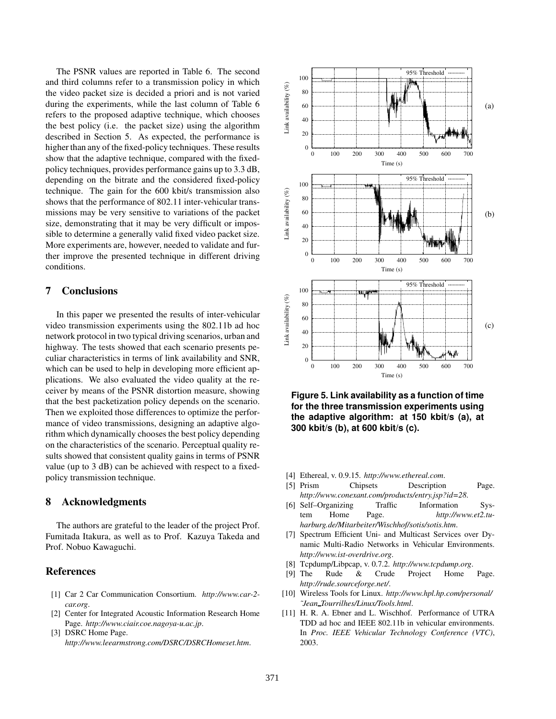The PSNR values are reported in Table 6. The second and third columns refer to a transmission policy in which the video packet size is decided a priori and is not varied during the experiments, while the last column of Table 6 refers to the proposed adaptive technique, which chooses the best policy (i.e. the packet size) using the algorithm described in Section 5. As expected, the performance is higher than any of the fixed-policy techniques. These results show that the adaptive technique, compared with the fixedpolicy techniques, provides performance gains up to 3.3 dB, depending on the bitrate and the considered fixed-policy technique. The gain for the 600 kbit/s transmission also shows that the performance of 802.11 inter-vehicular transmissions may be very sensitive to variations of the packet size, demonstrating that it may be very difficult or impossible to determine a generally valid fixed video packet size. More experiments are, however, needed to validate and further improve the presented technique in different driving conditions.

# 7 Conclusions

In this paper we presented the results of inter-vehicular video transmission experiments using the 802.11b ad hoc network protocol in two typical driving scenarios, urban and highway. The tests showed that each scenario presents peculiar characteristics in terms of link availability and SNR, which can be used to help in developing more efficient applications. We also evaluated the video quality at the receiver by means of the PSNR distortion measure, showing that the best packetization policy depends on the scenario. Then we exploited those differences to optimize the performance of video transmissions, designing an adaptive algorithm which dynamically chooses the best policy depending on the characteristics of the scenario. Perceptual quality results showed that consistent quality gains in terms of PSNR value (up to 3 dB) can be achieved with respect to a fixedpolicy transmission technique.

# 8 Acknowledgments

The authors are grateful to the leader of the project Prof. Fumitada Itakura, as well as to Prof. Kazuya Takeda and Prof. Nobuo Kawaguchi.

# **References**

- [1] Car 2 Car Communication Consortium. *http://www.car-2 car.org*.
- [2] Center for Integrated Acoustic Information Research Home Page. *http://www.ciair.coe.nagoya-u.ac.jp*.
- [3] DSRC Home Page. *http://www.leearmstrong.com/DSRC/DSRCHomeset.htm*.



**Figure 5. Link availability as a function of time for the three transmission experiments using the adaptive algorithm: at 150 kbit/s (a), at 300 kbit/s (b), at 600 kbit/s (c).**

- [4] Ethereal, v. 0.9.15. *http://www.ethereal.com*.
- [5] Prism Chipsets Description Page. *http://www.conexant.com/products/entry.jsp?id=28*.
- [6] Self–Organizing Traffic Information System Home Page. *http://www.et2.tuharburg.de/Mitarbeiter/Wischhof/sotis/sotis.htm*.
- [7] Spectrum Efficient Uni- and Multicast Services over Dynamic Multi-Radio Networks in Vehicular Environments. *http://www.ist-overdrive.org*.
- [8] Tcpdump/Libpcap, v. 0.7.2. *http://www.tcpdump.org*.
- [9] The Rude & Crude Project Home Page. *http://rude.sourceforge.net/*.
- [10] Wireless Tools for Linux. *http://www.hpl.hp.com/personal/ ˜Jean Tourrilhes/Linux/Tools.html*.
- [11] H. R. A. Ebner and L. Wischhof. Performance of UTRA TDD ad hoc and IEEE 802.11b in vehicular environments. In *Proc. IEEE Vehicular Technology Conference (VTC)*, 2003.